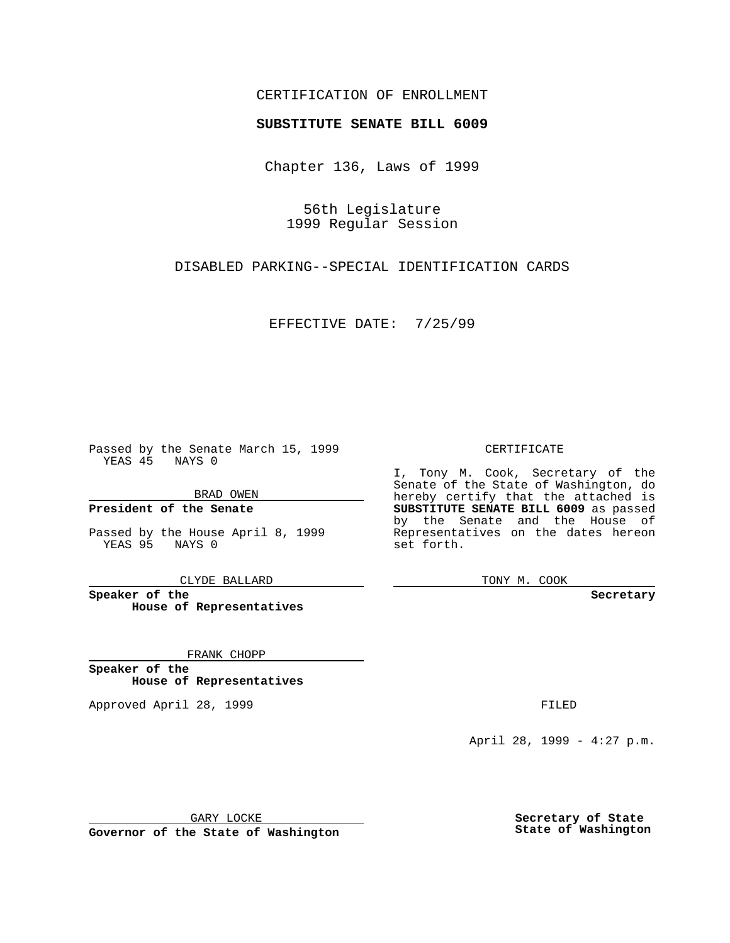### CERTIFICATION OF ENROLLMENT

# **SUBSTITUTE SENATE BILL 6009**

Chapter 136, Laws of 1999

56th Legislature 1999 Regular Session

DISABLED PARKING--SPECIAL IDENTIFICATION CARDS

EFFECTIVE DATE: 7/25/99

Passed by the Senate March 15, 1999 YEAS 45 NAYS 0

BRAD OWEN

**President of the Senate**

Passed by the House April 8, 1999 YEAS 95 NAYS 0

CLYDE BALLARD

**Speaker of the House of Representatives**

FRANK CHOPP

**Speaker of the House of Representatives**

Approved April 28, 1999 **FILED** 

#### CERTIFICATE

I, Tony M. Cook, Secretary of the Senate of the State of Washington, do hereby certify that the attached is **SUBSTITUTE SENATE BILL 6009** as passed by the Senate and the House of Representatives on the dates hereon set forth.

TONY M. COOK

**Secretary**

April 28, 1999 - 4:27 p.m.

GARY LOCKE

**Governor of the State of Washington**

**Secretary of State State of Washington**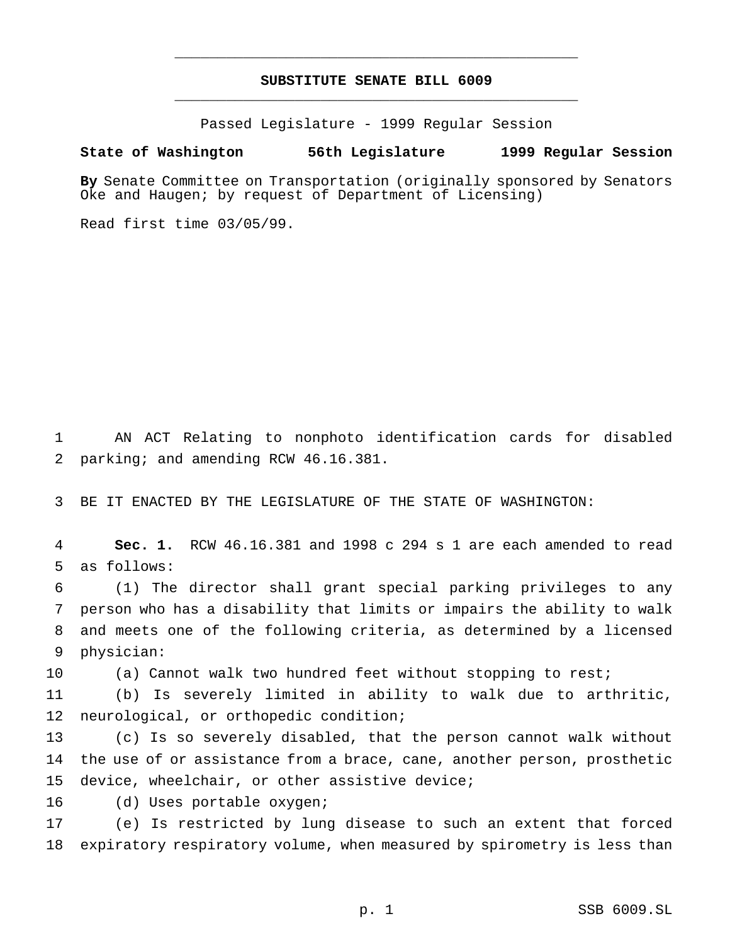# **SUBSTITUTE SENATE BILL 6009** \_\_\_\_\_\_\_\_\_\_\_\_\_\_\_\_\_\_\_\_\_\_\_\_\_\_\_\_\_\_\_\_\_\_\_\_\_\_\_\_\_\_\_\_\_\_\_

\_\_\_\_\_\_\_\_\_\_\_\_\_\_\_\_\_\_\_\_\_\_\_\_\_\_\_\_\_\_\_\_\_\_\_\_\_\_\_\_\_\_\_\_\_\_\_

Passed Legislature - 1999 Regular Session

### **State of Washington 56th Legislature 1999 Regular Session**

**By** Senate Committee on Transportation (originally sponsored by Senators Oke and Haugen; by request of Department of Licensing)

Read first time 03/05/99.

 AN ACT Relating to nonphoto identification cards for disabled parking; and amending RCW 46.16.381.

BE IT ENACTED BY THE LEGISLATURE OF THE STATE OF WASHINGTON:

 **Sec. 1.** RCW 46.16.381 and 1998 c 294 s 1 are each amended to read as follows:

 (1) The director shall grant special parking privileges to any person who has a disability that limits or impairs the ability to walk and meets one of the following criteria, as determined by a licensed physician:

10 (a) Cannot walk two hundred feet without stopping to rest;

 (b) Is severely limited in ability to walk due to arthritic, neurological, or orthopedic condition;

 (c) Is so severely disabled, that the person cannot walk without the use of or assistance from a brace, cane, another person, prosthetic device, wheelchair, or other assistive device;

(d) Uses portable oxygen;

 (e) Is restricted by lung disease to such an extent that forced expiratory respiratory volume, when measured by spirometry is less than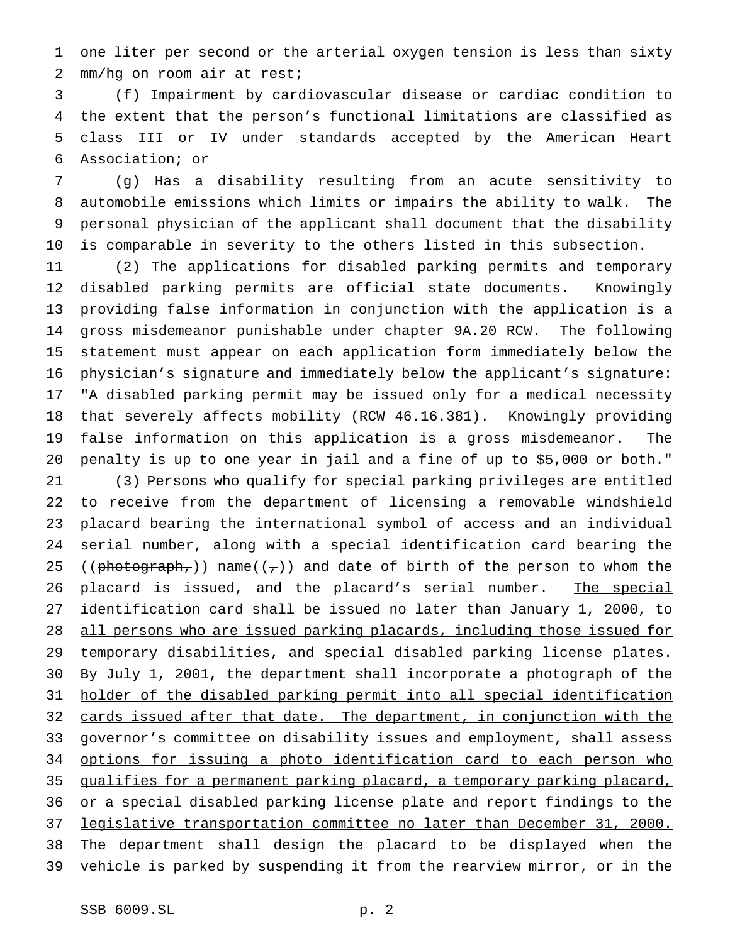one liter per second or the arterial oxygen tension is less than sixty mm/hg on room air at rest;

 (f) Impairment by cardiovascular disease or cardiac condition to the extent that the person's functional limitations are classified as class III or IV under standards accepted by the American Heart Association; or

 (g) Has a disability resulting from an acute sensitivity to automobile emissions which limits or impairs the ability to walk. The personal physician of the applicant shall document that the disability is comparable in severity to the others listed in this subsection.

 (2) The applications for disabled parking permits and temporary disabled parking permits are official state documents. Knowingly providing false information in conjunction with the application is a gross misdemeanor punishable under chapter 9A.20 RCW. The following statement must appear on each application form immediately below the physician's signature and immediately below the applicant's signature: "A disabled parking permit may be issued only for a medical necessity that severely affects mobility (RCW 46.16.381). Knowingly providing false information on this application is a gross misdemeanor. The penalty is up to one year in jail and a fine of up to \$5,000 or both."

 (3) Persons who qualify for special parking privileges are entitled to receive from the department of licensing a removable windshield placard bearing the international symbol of access and an individual serial number, along with a special identification card bearing the 25 (( $photography$ )) name( $(\tau)$ ) and date of birth of the person to whom the 26 placard is issued, and the placard's serial number. The special 27 identification card shall be issued no later than January 1, 2000, to all persons who are issued parking placards, including those issued for temporary disabilities, and special disabled parking license plates. By July 1, 2001, the department shall incorporate a photograph of the holder of the disabled parking permit into all special identification 32 cards issued after that date. The department, in conjunction with the 33 governor's committee on disability issues and employment, shall assess 34 options for issuing a photo identification card to each person who qualifies for a permanent parking placard, a temporary parking placard, or a special disabled parking license plate and report findings to the legislative transportation committee no later than December 31, 2000. The department shall design the placard to be displayed when the vehicle is parked by suspending it from the rearview mirror, or in the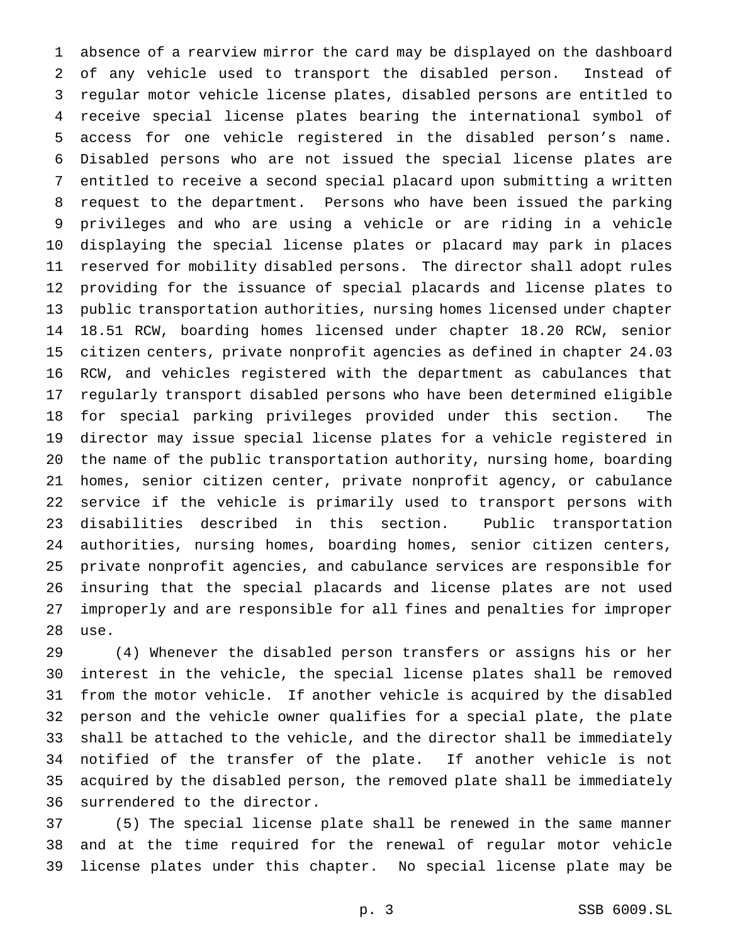absence of a rearview mirror the card may be displayed on the dashboard of any vehicle used to transport the disabled person. Instead of regular motor vehicle license plates, disabled persons are entitled to receive special license plates bearing the international symbol of access for one vehicle registered in the disabled person's name. Disabled persons who are not issued the special license plates are entitled to receive a second special placard upon submitting a written request to the department. Persons who have been issued the parking privileges and who are using a vehicle or are riding in a vehicle displaying the special license plates or placard may park in places reserved for mobility disabled persons. The director shall adopt rules providing for the issuance of special placards and license plates to public transportation authorities, nursing homes licensed under chapter 18.51 RCW, boarding homes licensed under chapter 18.20 RCW, senior citizen centers, private nonprofit agencies as defined in chapter 24.03 RCW, and vehicles registered with the department as cabulances that regularly transport disabled persons who have been determined eligible for special parking privileges provided under this section. The director may issue special license plates for a vehicle registered in the name of the public transportation authority, nursing home, boarding homes, senior citizen center, private nonprofit agency, or cabulance service if the vehicle is primarily used to transport persons with disabilities described in this section. Public transportation authorities, nursing homes, boarding homes, senior citizen centers, private nonprofit agencies, and cabulance services are responsible for insuring that the special placards and license plates are not used improperly and are responsible for all fines and penalties for improper use.

 (4) Whenever the disabled person transfers or assigns his or her interest in the vehicle, the special license plates shall be removed from the motor vehicle. If another vehicle is acquired by the disabled person and the vehicle owner qualifies for a special plate, the plate shall be attached to the vehicle, and the director shall be immediately notified of the transfer of the plate. If another vehicle is not acquired by the disabled person, the removed plate shall be immediately surrendered to the director.

 (5) The special license plate shall be renewed in the same manner and at the time required for the renewal of regular motor vehicle license plates under this chapter. No special license plate may be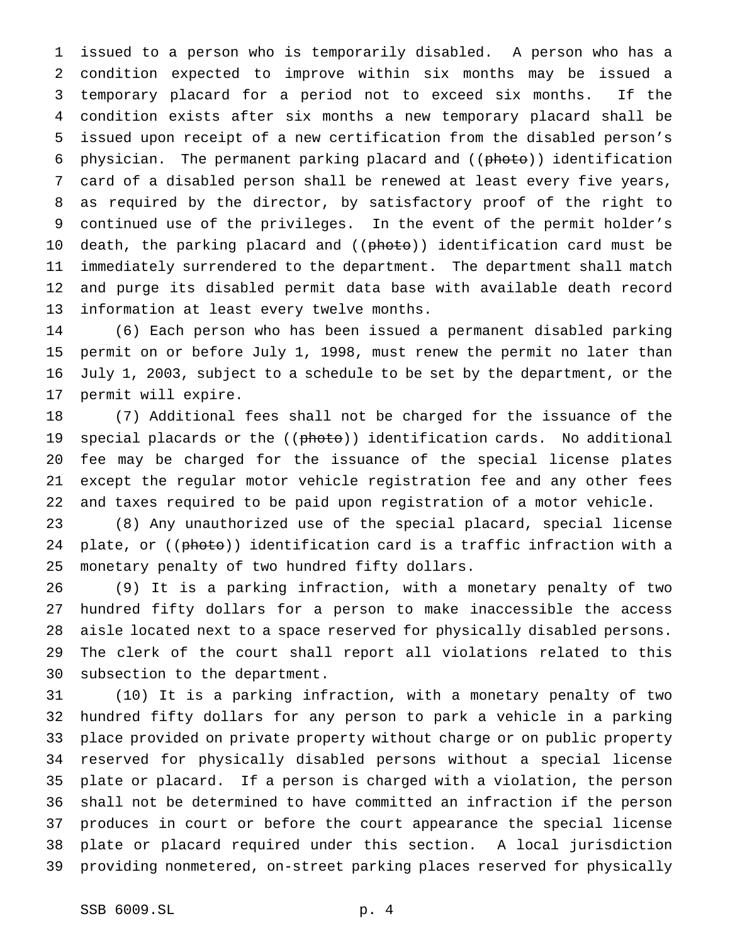issued to a person who is temporarily disabled. A person who has a condition expected to improve within six months may be issued a temporary placard for a period not to exceed six months. If the condition exists after six months a new temporary placard shall be issued upon receipt of a new certification from the disabled person's 6 physician. The permanent parking placard and ((photo)) identification card of a disabled person shall be renewed at least every five years, as required by the director, by satisfactory proof of the right to continued use of the privileges. In the event of the permit holder's 10 death, the parking placard and ((photo)) identification card must be immediately surrendered to the department. The department shall match and purge its disabled permit data base with available death record information at least every twelve months.

 (6) Each person who has been issued a permanent disabled parking permit on or before July 1, 1998, must renew the permit no later than July 1, 2003, subject to a schedule to be set by the department, or the permit will expire.

 (7) Additional fees shall not be charged for the issuance of the 19 special placards or the ((photo)) identification cards. No additional fee may be charged for the issuance of the special license plates except the regular motor vehicle registration fee and any other fees and taxes required to be paid upon registration of a motor vehicle.

 (8) Any unauthorized use of the special placard, special license 24 plate, or ((photo)) identification card is a traffic infraction with a monetary penalty of two hundred fifty dollars.

 (9) It is a parking infraction, with a monetary penalty of two hundred fifty dollars for a person to make inaccessible the access aisle located next to a space reserved for physically disabled persons. The clerk of the court shall report all violations related to this subsection to the department.

 (10) It is a parking infraction, with a monetary penalty of two hundred fifty dollars for any person to park a vehicle in a parking place provided on private property without charge or on public property reserved for physically disabled persons without a special license plate or placard. If a person is charged with a violation, the person shall not be determined to have committed an infraction if the person produces in court or before the court appearance the special license plate or placard required under this section. A local jurisdiction providing nonmetered, on-street parking places reserved for physically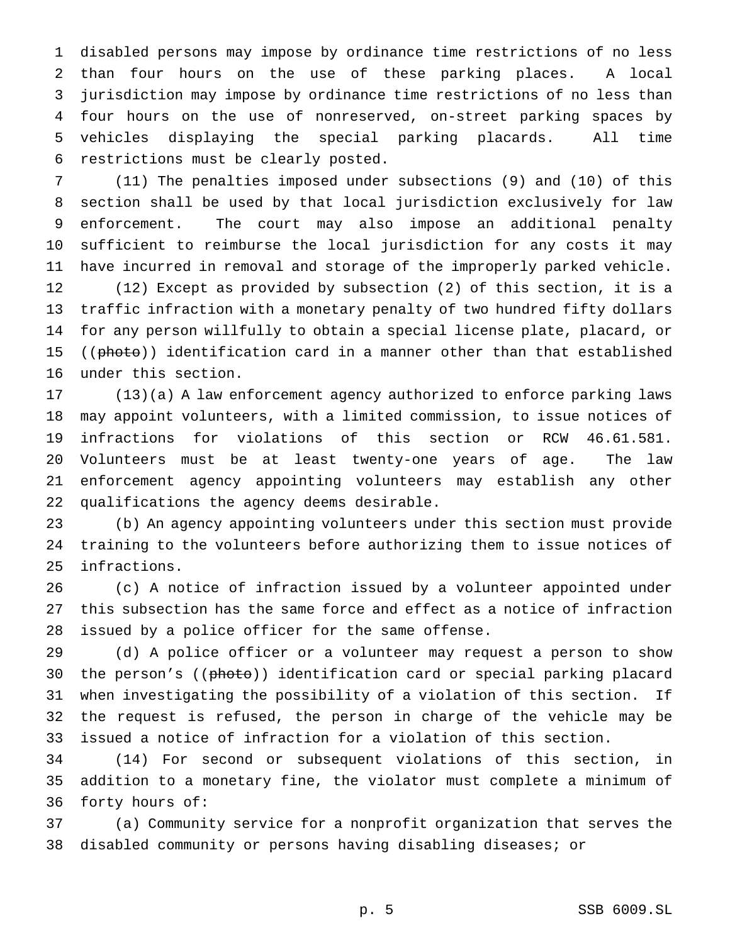disabled persons may impose by ordinance time restrictions of no less than four hours on the use of these parking places. A local jurisdiction may impose by ordinance time restrictions of no less than four hours on the use of nonreserved, on-street parking spaces by vehicles displaying the special parking placards. All time restrictions must be clearly posted.

 (11) The penalties imposed under subsections (9) and (10) of this section shall be used by that local jurisdiction exclusively for law enforcement. The court may also impose an additional penalty sufficient to reimburse the local jurisdiction for any costs it may have incurred in removal and storage of the improperly parked vehicle. (12) Except as provided by subsection (2) of this section, it is a traffic infraction with a monetary penalty of two hundred fifty dollars for any person willfully to obtain a special license plate, placard, or 15 ((photo)) identification card in a manner other than that established under this section.

 (13)(a) A law enforcement agency authorized to enforce parking laws may appoint volunteers, with a limited commission, to issue notices of infractions for violations of this section or RCW 46.61.581. Volunteers must be at least twenty-one years of age. The law enforcement agency appointing volunteers may establish any other qualifications the agency deems desirable.

 (b) An agency appointing volunteers under this section must provide training to the volunteers before authorizing them to issue notices of infractions.

 (c) A notice of infraction issued by a volunteer appointed under this subsection has the same force and effect as a notice of infraction issued by a police officer for the same offense.

 (d) A police officer or a volunteer may request a person to show 30 the person's ((photo)) identification card or special parking placard when investigating the possibility of a violation of this section. If the request is refused, the person in charge of the vehicle may be issued a notice of infraction for a violation of this section.

 (14) For second or subsequent violations of this section, in addition to a monetary fine, the violator must complete a minimum of forty hours of:

 (a) Community service for a nonprofit organization that serves the disabled community or persons having disabling diseases; or